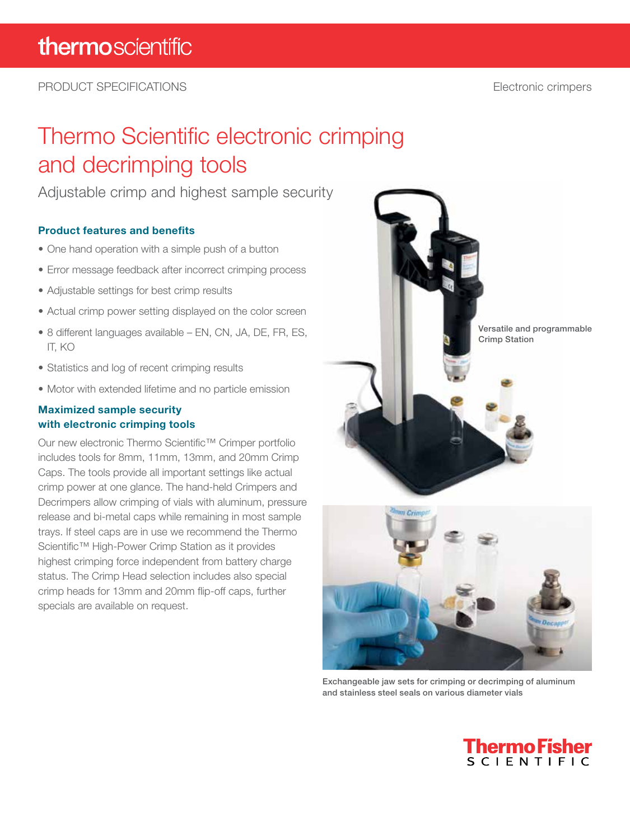PRODUCT SPECIFICATIONS Electronic crimpers

## Thermo Scientific electronic crimping and decrimping tools

Adjustable crimp and highest sample security

#### Product features and benefits

- One hand operation with a simple push of a button
- Error message feedback after incorrect crimping process
- Adjustable settings for best crimp results
- Actual crimp power setting displayed on the color screen
- 8 different languages available EN, CN, JA, DE, FR, ES, IT, KO
- Statistics and log of recent crimping results
- Motor with extended lifetime and no particle emission

#### Maximized sample security with electronic crimping tools

Our new electronic Thermo Scientific™ Crimper portfolio includes tools for 8mm, 11mm, 13mm, and 20mm Crimp Caps. The tools provide all important settings like actual crimp power at one glance. The hand-held Crimpers and Decrimpers allow crimping of vials with aluminum, pressure release and bi-metal caps while remaining in most sample trays. If steel caps are in use we recommend the Thermo Scientific™ High-Power Crimp Station as it provides highest crimping force independent from battery charge status. The Crimp Head selection includes also special crimp heads for 13mm and 20mm flip-off caps, further specials are available on request.



Exchangeable jaw sets for crimping or decrimping of aluminum and stainless steel seals on various diameter vials